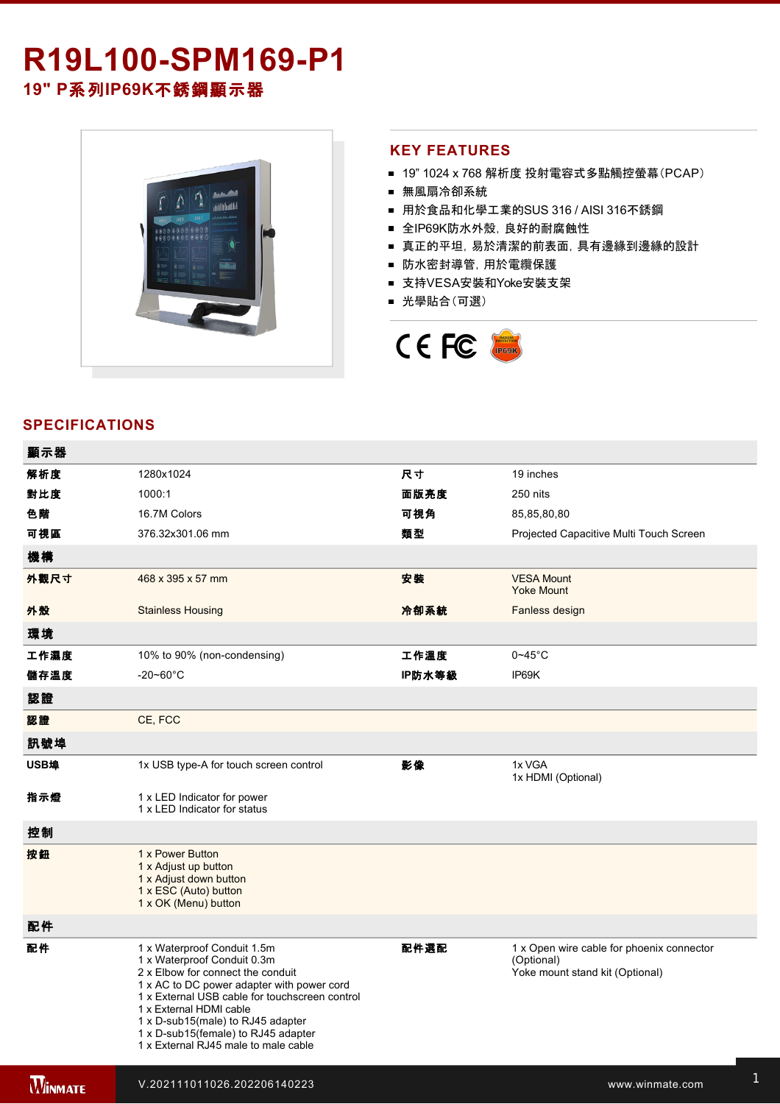## R19L100-SPM169-P1 **19" P**系列**IP69K**不銹鋼顯示器



### **KEY FEATURES**

- 19" 1024 x 768 解析度 投射電容式多點觸控螢幕(PCAP)
- 無風扇冷卻系統
- 用於食品和化學工業的SUS 316 / AISI 316不銹鋼
- 全IP69K防水外殼, 良好的耐腐蝕性
- 真正的平坦,易於清潔的前表面,具有邊緣到邊緣的設計
- 防水密封導管,用於電纜保護
- 支持VESA安裝和Yoke安裝支架
- 光學貼合(可選)



## **SPECIFICATIONS**

| 顯示器  |                                                                                                                                                                                                                                                                                                                                                |        |                                                                                            |
|------|------------------------------------------------------------------------------------------------------------------------------------------------------------------------------------------------------------------------------------------------------------------------------------------------------------------------------------------------|--------|--------------------------------------------------------------------------------------------|
| 解析度  | 1280x1024                                                                                                                                                                                                                                                                                                                                      | 尺寸     | 19 inches                                                                                  |
| 對比度  | 1000:1                                                                                                                                                                                                                                                                                                                                         | 面版亮度   | 250 nits                                                                                   |
| 色階   | 16.7M Colors                                                                                                                                                                                                                                                                                                                                   | 可視角    | 85,85,80,80                                                                                |
| 可視區  | 376.32x301.06 mm                                                                                                                                                                                                                                                                                                                               | 類型     | Projected Capacitive Multi Touch Screen                                                    |
| 機構   |                                                                                                                                                                                                                                                                                                                                                |        |                                                                                            |
| 外觀尺寸 | 468 x 395 x 57 mm                                                                                                                                                                                                                                                                                                                              | 安装     | <b>VESA Mount</b><br><b>Yoke Mount</b>                                                     |
| 外殼   | <b>Stainless Housing</b>                                                                                                                                                                                                                                                                                                                       | 冷卻系統   | Fanless design                                                                             |
| 環境   |                                                                                                                                                                                                                                                                                                                                                |        |                                                                                            |
| 工作濕度 | 10% to 90% (non-condensing)                                                                                                                                                                                                                                                                                                                    | 工作溫度   | $0 - 45$ °C                                                                                |
| 儲存溫度 | $-20 - 60^{\circ}$ C                                                                                                                                                                                                                                                                                                                           | IP防水等級 | IP69K                                                                                      |
| 認證   |                                                                                                                                                                                                                                                                                                                                                |        |                                                                                            |
| 認證   | CE, FCC                                                                                                                                                                                                                                                                                                                                        |        |                                                                                            |
| 訊號埠  |                                                                                                                                                                                                                                                                                                                                                |        |                                                                                            |
| USB埠 | 1x USB type-A for touch screen control                                                                                                                                                                                                                                                                                                         | 影像     | 1x VGA<br>1x HDMI (Optional)                                                               |
| 指示燈  | 1 x LED Indicator for power<br>1 x LED Indicator for status                                                                                                                                                                                                                                                                                    |        |                                                                                            |
| 控制   |                                                                                                                                                                                                                                                                                                                                                |        |                                                                                            |
| 按鈕   | 1 x Power Button<br>1 x Adjust up button<br>1 x Adjust down button<br>1 x ESC (Auto) button<br>1 x OK (Menu) button                                                                                                                                                                                                                            |        |                                                                                            |
| 配件   |                                                                                                                                                                                                                                                                                                                                                |        |                                                                                            |
| 配件   | 1 x Waterproof Conduit 1.5m<br>1 x Waterproof Conduit 0.3m<br>2 x Elbow for connect the conduit<br>1 x AC to DC power adapter with power cord<br>1 x External USB cable for touchscreen control<br>1 x External HDMI cable<br>1 x D-sub15(male) to RJ45 adapter<br>1 x D-sub15(female) to RJ45 adapter<br>1 x External RJ45 male to male cable | 配件選配   | 1 x Open wire cable for phoenix connector<br>(Optional)<br>Yoke mount stand kit (Optional) |

**WINMATE**